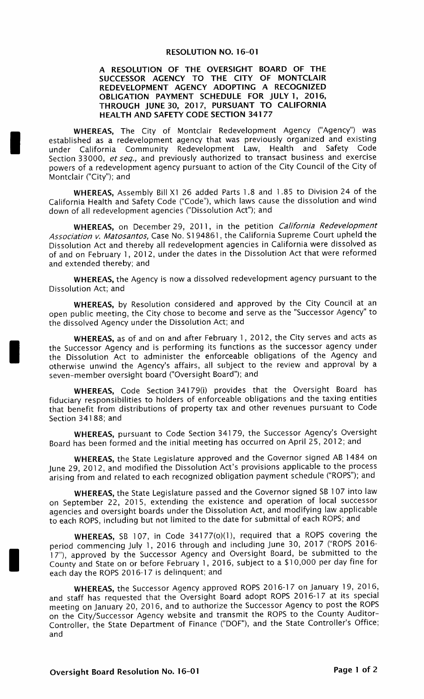## **RESOLUTION NO. 16-01**

## A RESOLUTION OF THE OVERSIGHT BOARD OF THE SUCCESSOR AGENCY TO THE CITY OF MONTCLAIR REDEVELOPMENT AGENCY ADOPTING A RECOGNIZED OBLIGATION PAYMENT SCHEDULE FOR JULY 1, 2016, THROUGH JUNE 30, 2017, PURSUANT TO CALIFORNIA HEALTH AND SAFETY CODE SECTION 34177

WHEREAS, The City of Montclair Redevelopment Agency ("Agency") was established as a redevelopment agency that was previously organized and existing under California Community Redevelopment Law, Health and Safety Code Section 33000, et seq., and previously authorized to transact business and exercise powers of a redevelopment agency pursuant to action of the City Council of the City of Montclair ("City"); and

WHEREAS, Assembly Bill X1 26 added Parts 1.8 and 1.85 to Division 24 of the California Health and Safety Code (" Code"), which laws cause the dissolution and wind down of all redevelopment agencies ("Dissolution Act"); and

WHEREAS, on December 29, 2011, in the petition California Redevelopment Association v. Matosantos, Case No. S1 94861 , the California Supreme Court upheld the Dissolution Act and thereby all redevelopment agencies in California were dissolved as of and on February 1, 2012, under the dates in the Dissolution Act that were reformed and extended thereby; and

WHEREAS, the Agency is now a dissolved redevelopment agency pursuant to the Dissolution Act; and

WHEREAS, by Resolution considered and approved by the City Council at an open public meeting, the City chose to become and serve as the " Successor Agency" to the dissolved Agency under the Dissolution Act; and

WHEREAS, as of and on and after February 1, 2012, the City serves and acts as the Successor Agency and is performing its functions as the successor agency under the Dissolution Act to administer the enforceable obligations of the Agency and otherwise unwind the Agency's affairs, all subject to the review and approval by a seven-member oversight board ("Oversight Board"); and

WHEREAS, Code Section 34179(i) provides that the Oversight Board has fiduciary responsibilities to holders of enforceable obligations and the taxing entities that benefit from distributions of property tax and other revenues pursuant to Code Section 34188; and

WHEREAS, pursuant to Code Section 34179, the Successor Agency's Oversight Board has been formed and the initial meeting has occurred on April 25, 2012; and

WHEREAS, the State Legislature approved and the Governor signed AB 1484 on June 29, 2012, and modified the Dissolution Act's provisions applicable to the process arising from and related to each recognized obligation payment schedule (" ROPS"); and

WHEREAS, the State Legislature passed and the Governor signed SB 107 into law on September 22, 2015, extending the existence and operation of local successor agencies and oversight boards under the Dissolution Act, and modifying law applicable to each ROPS, including but not limited to the date for submittal of each ROPS; and

WHEREAS, SB 107, in Code 34177(o)(1), required that a ROPS covering the period commencing July 1, 2016 through and including June 30, 2017 ("ROPS 2016-17"), approved by the Successor Agency and Oversight Board, be submitted to the County and State on or before February 1, 2016, subject to a \$ 10, 000 per day fine for each day the ROPS 2016- 17 is delinquent; and

WHEREAS, the Successor Agency approved ROPS 2016-17 on January 19, 2016, and staff has requested that the Oversight Board adopt ROPS 2016-17 at its special meeting on January 20, 2016, and to authorize the Successor Agency to post the ROPS on the City/Successor Agency website and transmit the ROPS to the County Auditor-Controller, the State Department of Finance ("DOF"), and the State Controller's Office; and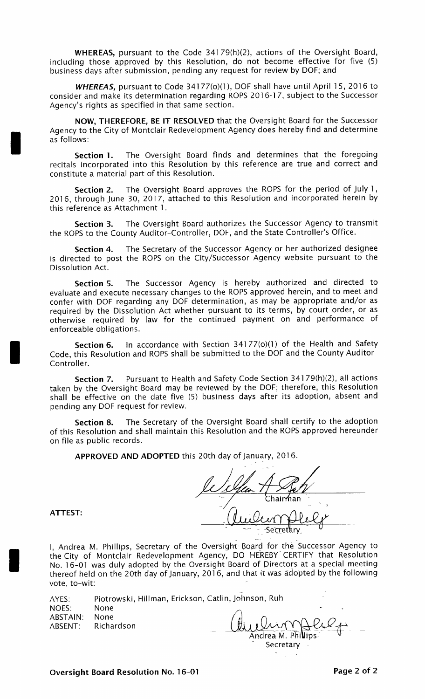WHEREAS, pursuant to the Code 34179(h)(2), actions of the Oversight Board, including those approved by this Resolution, do not become effective for five (5) business days after submission, pending any request for review by DOF; and

**WHEREAS, pursuant to Code 34177(o)(1), DOF shall have until April 15, 2016 to** consider and make its determination regarding ROPS 2016- 17, subject to the Successor Agency's rights as specified in that same section.

NOW, THEREFORE, BE IT RESOLVED that the Oversight Board for the Successor Agency to the City of Montclair Redevelopment Agency does hereby find and determine as follows:

Section 1. The Oversight Board finds and determines that the foregoing recitals incorporated into this Resolution by this reference are true and correct and constitute a material part of this Resolution.

Section 2. The Oversight Board approves the ROPS for the period of July 1, 2016, through June 30, 2017, attached to this Resolution and incorporated herein by this reference as Attachment 1.

Section 3. The Oversight Board authorizes the Successor Agency to transmit the ROPS to the County Auditor-Controller, DOF, and the State Controller's Office.

Section 4. The Secretary of the Successor Agency or her authorized designee is directed to post the ROPS on the City/Successor Agency website pursuant to the Dissolution Act.

Section S. The Successor Agency is hereby authorized and directed to evaluate and execute necessary changes to the ROPS approved herein, and to meet and confer with DOF regarding any DOF determination, as may be appropriate and/or as required by the Dissolution Act whether pursuant to its terms, by court order, or as otherwise required by law for the continued payment on and performance of enforceable obligations.

Section 6. In accordance with Section 34177(o)(1) of the Health and Safety Code, this Resolution and ROPS shall be submitted to the DOF and the County Auditor - Controller.

Section 7. Pursuant to Health and Safety Code Section 34179(h)(2), all actions taken by the Oversight Board may be reviewed by the DOF; therefore, this Resolution shall be effective on the date five (5) business days after its adoption, absent and pending any DOF request for review.

Section 8. The Secretary of the Oversight Board shall certify to the adoption of this Resolution and shall maintain this Resolution and the ROPS approved hereunder on file as public records.

APPROVED AND ADOPTED this 20th day of January, 2016.

Chair<del>r</del>an Sec<u>r</u>etary

ATTEST:

I, Andrea M. Phillips, Secretary of the Oversight Board for the Successor Agency to the City of Montclair Redevelopment Agency, DO HEREBY CERTIFY that Resolution No. 16-01 was duly adopted by the Oversight Board of Directors at a special meeting thereof held on the 20th day of January, 2016, and that it was adopted by the following vote, to-wit:

| AYES:    |                    | Piotrowski, Hillman, Erickson, Catlin, Johnson, Ruh |           |
|----------|--------------------|-----------------------------------------------------|-----------|
| NOES:    | None               |                                                     | $\bullet$ |
| ABSTAIN: | None               |                                                     |           |
|          | ABSENT: Richardson | Queling Phillips                                    |           |
|          |                    |                                                     |           |

Secretary Secretary  $\sum_{i=1}^n \frac{1}{i} \sum_{j=1}^n \frac{1}{j}$ 

# Oversight Board Resolution No. 16-01 **Page 2 of 2** Page 2 of 2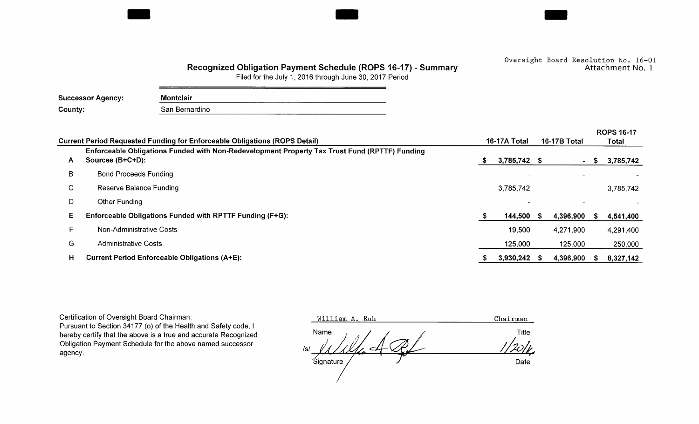## Recognized Obligation Payment Schedule (ROPS 16-17) - Summary

Oversight Board Resolution No. 16-01<br>Attachment No. 1

Filed for the July 1, 2016 through June 30, 2017 Period

| <b>Successor Agency:</b> | <b>Montclair</b> |
|--------------------------|------------------|
| County:                  | San Bernardino   |

|    |                                                                                                                   |              |                |     |                          |       | <b>ROPS 16-17</b> |  |
|----|-------------------------------------------------------------------------------------------------------------------|--------------|----------------|-----|--------------------------|-------|-------------------|--|
|    | Current Period Requested Funding for Enforceable Obligations (ROPS Detail)                                        | 16-17A Total |                |     | <b>16-17B Total</b>      | Total |                   |  |
| A  | Enforceable Obligations Funded with Non-Redevelopment Property Tax Trust Fund (RPTTF) Funding<br>Sources (B+C+D): |              | 3,785,742 \$   |     | ۰.                       | S     | 3,785,742         |  |
| В  | <b>Bond Proceeds Funding</b>                                                                                      |              |                |     |                          |       |                   |  |
| C. | Reserve Balance Funding                                                                                           |              | 3,785,742      |     | $\overline{\phantom{0}}$ |       | 3,785,742         |  |
| D  | Other Funding                                                                                                     |              |                |     |                          |       |                   |  |
| Е. | Enforceable Obligations Funded with RPTTF Funding (F+G):                                                          | S            | 144,500        | - 5 | 4,396,900                |       | 4,541,400         |  |
|    | Non-Administrative Costs                                                                                          |              | 19,500         |     | 4,271,900                |       | 4,291,400         |  |
| G  | <b>Administrative Costs</b>                                                                                       |              | 125,000        |     | 125,000                  |       | 250,000           |  |
| н  | <b>Current Period Enforceable Obligations (A+E):</b>                                                              |              | $3,930,242$ \$ |     | 4,396,900                |       | 8,327,142         |  |

Certification of Oversight Board Chairman:

Pursuant to Section 34177 (o) of the Health and Safety code, I hereby certify that the above is a true and accurate Recognized Obligation Payment Schedule for the above named successor agency.

William A. Ruh Chairman Name  $\qquad \qquad$  /  $\qquad \qquad$  /  $\qquad \qquad$  Title  $/s/$  $\sim$   $\sim$   $\sim$  Date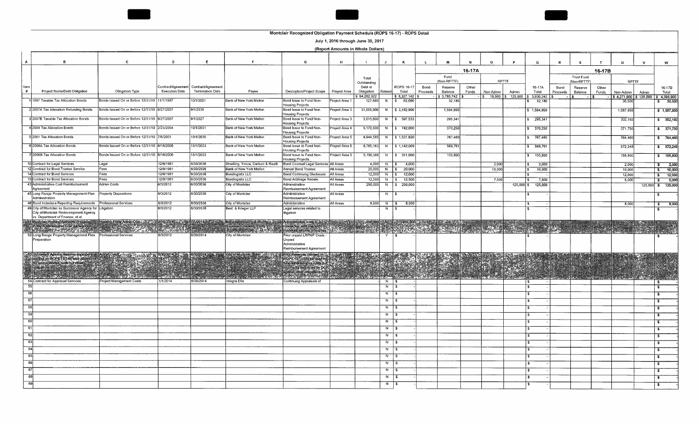

#### July 1, 2016 through June 30, 2017

(Report Amounts in Whole Dollars)

| A               | в                                                                                                                                                                                                                                       | c.                                            | $\mathbf{D}$          | Ε                                                                  |                                                                             | G                                                                                                                                                                                                                                                                                                 | H                          |                                     | J.             | к                                            | $\mathbf{L}$     | M                                      | N              | $\circ$                 | P                  | $\alpha$                              | R                | s                                | $\mathbf T$    | $\mathbf{u}$                                   | $\mathbf{v}$ | w                            |
|-----------------|-----------------------------------------------------------------------------------------------------------------------------------------------------------------------------------------------------------------------------------------|-----------------------------------------------|-----------------------|--------------------------------------------------------------------|-----------------------------------------------------------------------------|---------------------------------------------------------------------------------------------------------------------------------------------------------------------------------------------------------------------------------------------------------------------------------------------------|----------------------------|-------------------------------------|----------------|----------------------------------------------|------------------|----------------------------------------|----------------|-------------------------|--------------------|---------------------------------------|------------------|----------------------------------|----------------|------------------------------------------------|--------------|------------------------------|
|                 |                                                                                                                                                                                                                                         |                                               |                       |                                                                    |                                                                             |                                                                                                                                                                                                                                                                                                   |                            |                                     |                |                                              |                  |                                        | 16-17A         |                         |                    |                                       |                  |                                  | 16-17B         |                                                |              |                              |
|                 |                                                                                                                                                                                                                                         |                                               |                       |                                                                    |                                                                             |                                                                                                                                                                                                                                                                                                   |                            | Total<br>Outstanding                |                |                                              |                  | Fund<br>(Non-RPTTF)                    |                |                         | RPTTF              |                                       |                  | <b>Trust Fund</b><br>(Non-RPTTF) |                | <b>RPTTF</b>                                   |              |                              |
| ltern<br>#      | Project Name/Debt Obligation                                                                                                                                                                                                            | Obligation Type                               | <b>Execution Date</b> | Contract/Agreement   Contract/Agreement<br><b>Termination Date</b> | Payee                                                                       | Description/Project Scope                                                                                                                                                                                                                                                                         | Project Area               | Debt or<br>Obligation<br>64,282,322 | Retired        | <b>ROPS 16-17</b><br>Total<br>$8,327,142$ \$ | Bond<br>Proceeds | Reserve<br>Balance<br>$-$ \$ 3,785,742 | Other<br>Funds | Non-Admin<br>$s$ 19,500 | Admin<br>\$125,000 | 16-17A<br>Total<br>$5\quad 3,930,242$ | Bond<br>Proceeds | Reserve<br>Balance               | Other<br>Funds | Non-Admin                                      | Admin        | 16-17B<br>Total              |
|                 | 11997 Taxable Tax Allocation Bonds                                                                                                                                                                                                      | onds Issued On or Before 12/31/10 11/1/1997   |                       | 0/1/2021                                                           | Bank of New York Mellon                                                     | Bond Issue to Fund Non-<br>Housing Projects                                                                                                                                                                                                                                                       | roiect Area <sup>.</sup>   | 127,680                             | - N            | 62.68                                        |                  | 32,18                                  |                |                         |                    | 32,180                                |                  |                                  |                | $$4,271,900$ $$125,000$ $$4,396,900$<br>30,500 |              | 30,500<br>\$                 |
|                 | 2 2007A Tax Allocation Refunding Bonds                                                                                                                                                                                                  | Bonds Issued On or Before 12/31/10 9/27/2007  |                       | 9/1/2035                                                           | Bank of New York Mellon                                                     | Bond Issue to Fund Non-<br>Housing Projects                                                                                                                                                                                                                                                       | Toject Area 3              | 31,005,906                          | N              | \$3,182,900                                  |                  | 1,594,950                              |                |                         |                    | \$1,594,950                           |                  |                                  |                | 1,587,950                                      |              | \$1,587,950                  |
|                 | 3 2007B Taxable Tax Allocation Bonds                                                                                                                                                                                                    | Bonds Issued On or Before 12/31/10 19/27/2007 |                       | 9/1/2027                                                           | Bank of New York Mellon                                                     | Bond Issue to Fund Non-<br>Housing Projects                                                                                                                                                                                                                                                       | roject Area 3              | 3,015,600                           | N <sub>N</sub> | \$597,533                                    |                  | 295,341                                |                |                         |                    | 295,341                               |                  |                                  |                | 302,192                                        |              | \$302,192                    |
|                 | 4 2004 Tax Allocation Bonds                                                                                                                                                                                                             | Bonds Issued On or Before 12/31/10 2/23/2004  |                       | 10/1/2031                                                          | Bank of New York Mellon                                                     | Bond Issue to Fund Non-<br>Housing Projects                                                                                                                                                                                                                                                       | <sup>o</sup> roject Area 4 | 5,170,500                           | N              | $\frac{1}{2}$ \$742,000                      |                  | 370,250                                |                |                         |                    | 370,250                               |                  |                                  |                | 371,750                                        |              | \$371.750                    |
|                 | 5 2001 Tax Allocation Bonds                                                                                                                                                                                                             | Bonds Issued On or Before 12/31/10 7/6/2001   |                       | 10/1/2030                                                          | Bank of New York Mellon                                                     | Bond Issue to Fund Non-<br>Housing Projects                                                                                                                                                                                                                                                       | Toject Area 5              | 9,944,585                           | N              | \$1,531,920                                  |                  | 767,460                                |                |                         |                    | 767,460                               |                  |                                  |                | 764,460                                        |              | \$764,460                    |
|                 | 6 2006A Tax Allocation Bonds                                                                                                                                                                                                            | Bonds Issued On or Before 12/31/10 6/16/2006  |                       | 10/1/2033                                                          | Bank of New York Mellon                                                     | Bond Issue to Fund Non-<br>lousing Projects                                                                                                                                                                                                                                                       | Project Area 5             | 8,765,163                           |                | N   \$ 1,142,009                             |                  | 569,761                                |                |                         |                    | 569,761                               |                  |                                  |                | 572,248                                        |              | 572.248                      |
|                 | 2006B Tax Allocation Bonds                                                                                                                                                                                                              | Bonds Issued On or Before 12/31/10 16/16/2006 |                       | 10/1/2033                                                          | Bank of New York Mellon                                                     | Bond Issue to Fund Non-<br><b>Jousing Projects</b>                                                                                                                                                                                                                                                | Project Area 5             | 5,196,388                           | N              | $\frac{1}{3}$ 311,600                        |                  | 155,800                                |                |                         |                    | 155,800                               |                  |                                  |                | 155,800                                        |              | \$ 155,800                   |
|                 | 10 Contract for Legal Services                                                                                                                                                                                                          | Legal                                         | 12/9/1981             | 6/30/2036                                                          | Stradling, Yocca, Carlson & Rauth                                           | Bond Counsel Legal Services All Areas                                                                                                                                                                                                                                                             |                            | 4.000                               | N   \$         | 4,000                                        |                  |                                        |                | 2,000                   |                    | 2,000                                 |                  |                                  |                | 2,000                                          |              | 2,000<br>$\ddot{\textbf{S}}$ |
|                 | 12 Contract for Bond Trustee Service                                                                                                                                                                                                    | Fees                                          | 12/9/1981             | 6/30/2036                                                          | Bank of New York Mellon                                                     | Annual Bond Trustee                                                                                                                                                                                                                                                                               | All Areas                  | 20,000                              | $N$ $S$        | 20,000                                       |                  |                                        |                | 10,000                  |                    | 10,000                                |                  |                                  |                | 10,000                                         |              | 10,000<br>- \$               |
|                 | 14 Contract for Bond Services                                                                                                                                                                                                           | Fees                                          | 12/9/1981             | 6/30/2036                                                          | Bondlogistix LLC                                                            | <b>Bond Continuing Disclosure</b>                                                                                                                                                                                                                                                                 | All Areas                  | 12,000                              | $N \mid S$     | 12,000                                       |                  |                                        |                |                         |                    |                                       |                  |                                  |                | 12,000                                         |              | 12,000<br>$\sim$             |
|                 | 15 Contract for Bond Services                                                                                                                                                                                                           | Fees                                          | 12/9/1981             | 6/30/2036                                                          | Bondlogistix LLC                                                            | <b>Bond Arbitrage Rebate</b>                                                                                                                                                                                                                                                                      | All Areas                  | 12.500                              |                | $N$ $S$ 12.500                               |                  |                                        |                | 7,500                   |                    | 7,500                                 |                  |                                  |                | 5,000                                          |              | 5,000<br>-\$                 |
|                 | 43 Administrative Cost Reimbursement<br>Agreement                                                                                                                                                                                       | Admin Costs                                   | 6/3/2012              | 6/30/2036                                                          | <b>City of Montclair</b>                                                    | Admınıstrative<br>Reimbursement Agreement                                                                                                                                                                                                                                                         | All Areas                  | 250,000                             |                | N   \$ 250,000                               |                  |                                        |                |                         | $125,000$ \$       | 125,000                               |                  |                                  |                |                                                |              | 125,000 \$ 125,000           |
|                 | 45 Long Range Property Management Plan<br>Administration                                                                                                                                                                                | <b>Property Dispositions</b>                  | 6/3/2012              | 6/30/2036                                                          | City of Montclair                                                           | Administrative<br>Reimbursement Agreement                                                                                                                                                                                                                                                         | All Areas                  |                                     | N.             | l \$                                         |                  |                                        |                |                         |                    |                                       |                  |                                  |                |                                                |              |                              |
|                 | 46 Bond Indenture Reporting Requirements                                                                                                                                                                                                | Professional Services                         | 6/3/2012              | 6/30/2036                                                          | City of Montclair                                                           | Administrative                                                                                                                                                                                                                                                                                    | All Areas                  |                                     | $8,000$ N \$   | 8,000                                        |                  |                                        |                |                         |                    |                                       |                  |                                  |                | 8,000                                          |              | 8,000<br>-S                  |
|                 | 49 City of Montclair as Successor Agency for Litigation<br>City of Montclair Redevelopment Agency<br>vs Department of Finance, et al                                                                                                    |                                               | 6/3/2012              | 6/30/2036                                                          | Best & Krieger LLP                                                          | egal services related to<br>litigation                                                                                                                                                                                                                                                            |                            |                                     | N              |                                              |                  |                                        |                |                         |                    |                                       |                  |                                  |                |                                                |              | s                            |
|                 | <b>1951 Monday Housing Adrienty, Housing Provided Entity Admin Cost 2012-2014 20:20:42</b><br>Entity Administrative Cost Allowance<br>Forth Provided Adrienty Provided Advised Provided Provided Advised Provided Provided Provided Pro |                                               |                       | 71/2018<br>ΩÚ.                                                     | Montclair Housing Authority 12<br>Successort Fousing Entity<br>And All Card | Administrative constant $\frac{1}{2}$ : $\frac{1}{2}$ : $\frac{1}{2}$ : $\frac{1}{2}$ : $\frac{1}{2}$ : $\frac{1}{2}$ : $\frac{1}{2}$ : $\frac{1}{2}$ : $\frac{1}{2}$ : $\frac{1}{2}$ : $\frac{1}{2}$ : $\frac{1}{2}$ : $\frac{1}{2}$ : $\frac{1}{2}$ : $\frac{1}{2}$ : $\frac{1}{2}$ : $\frac{1$ |                            |                                     |                |                                              |                  | Alara<br>後に やっか                        |                |                         |                    |                                       |                  |                                  |                | 450,000<br>$\frac{1}{2}$ . The $\frac{1}{2}$   |              | k e S                        |
|                 | 52 Long Range Property Management Plan Professional Services<br>Preparation                                                                                                                                                             |                                               | 6/3/2012              | 6/30/2014                                                          | City of Montclaır                                                           | Prior unpaid LRPMP Costs<br>Unpaid                                                                                                                                                                                                                                                                |                            |                                     | Y              |                                              |                  |                                        |                |                         |                    |                                       |                  |                                  |                |                                                |              |                              |
|                 |                                                                                                                                                                                                                                         |                                               |                       |                                                                    |                                                                             | Administrative<br>Reimbursement Agreement                                                                                                                                                                                                                                                         |                            |                                     |                |                                              |                  |                                        |                |                         |                    |                                       |                  |                                  |                |                                                |              |                              |
|                 | Successor Adency reserves improperly<br>applied on ROPS: 13,148 and utilized<br>for administrative coals but offer                                                                                                                      |                                               | 6/30/2014             |                                                                    |                                                                             | Phor Reserves claimed on a state of the Rock of the Rock of the Phor Rock of the Phor Rock of the Phor Rock of the Phor Rock of the Phor Rock of the Phor Rock of the Phor Rock of the Phor Rock of the Phor Rock of the Phor                                                                     |                            |                                     |                | <b>ASSE</b>                                  | <b>TANA</b>      |                                        |                | EKAN                    |                    |                                       |                  |                                  |                |                                                |              |                              |
|                 |                                                                                                                                                                                                                                         |                                               |                       |                                                                    |                                                                             |                                                                                                                                                                                                                                                                                                   |                            |                                     |                |                                              |                  |                                        |                | $\mathbb{R}$            |                    |                                       |                  |                                  |                |                                                |              |                              |
|                 |                                                                                                                                                                                                                                         |                                               |                       |                                                                    |                                                                             |                                                                                                                                                                                                                                                                                                   |                            |                                     |                |                                              |                  |                                        |                |                         |                    |                                       |                  |                                  |                |                                                |              |                              |
|                 | KS:                                                                                                                                                                                                                                     |                                               |                       |                                                                    |                                                                             |                                                                                                                                                                                                                                                                                                   |                            |                                     |                |                                              |                  |                                        |                |                         |                    |                                       |                  |                                  |                |                                                |              |                              |
|                 | a a                                                                                                                                                                                                                                     |                                               |                       | <b>REGIONAL PRODUCT</b>                                            |                                                                             |                                                                                                                                                                                                                                                                                                   |                            |                                     |                | <b>ROCK READERS</b>                          |                  |                                        |                |                         | <b>BARTI</b>       | a tinan                               |                  |                                  |                | <u>esperantistici (provincial de </u>          |              |                              |
|                 | 54 Contract for Appraisal Services                                                                                                                                                                                                      | Project Management Costs                      | 1/1/2014              | 6/30/2014                                                          | ntegra Ellis                                                                | Continuing Appraisals of                                                                                                                                                                                                                                                                          |                            |                                     | N   \$         |                                              |                  |                                        |                |                         |                    | is.                                   |                  |                                  |                |                                                |              | - \$                         |
|                 |                                                                                                                                                                                                                                         |                                               |                       |                                                                    |                                                                             |                                                                                                                                                                                                                                                                                                   |                            |                                     | $N$ $\sqrt{S}$ |                                              |                  |                                        |                |                         |                    |                                       |                  |                                  |                |                                                |              |                              |
|                 |                                                                                                                                                                                                                                         |                                               |                       |                                                                    |                                                                             |                                                                                                                                                                                                                                                                                                   |                            |                                     | $N \sqrt{s}$   |                                              |                  |                                        |                |                         |                    |                                       |                  |                                  |                |                                                |              |                              |
| -57             |                                                                                                                                                                                                                                         |                                               |                       |                                                                    |                                                                             |                                                                                                                                                                                                                                                                                                   |                            |                                     | $N \mid$ \$    |                                              |                  |                                        |                |                         |                    |                                       |                  |                                  |                |                                                |              |                              |
| 58              |                                                                                                                                                                                                                                         |                                               |                       |                                                                    |                                                                             |                                                                                                                                                                                                                                                                                                   |                            |                                     | N              | 1 S                                          |                  |                                        |                |                         |                    |                                       |                  |                                  |                |                                                |              |                              |
| 59              |                                                                                                                                                                                                                                         |                                               |                       |                                                                    |                                                                             |                                                                                                                                                                                                                                                                                                   |                            |                                     | N              | $\pm$ \$                                     |                  |                                        |                |                         |                    |                                       |                  |                                  |                |                                                |              |                              |
| 60              |                                                                                                                                                                                                                                         |                                               |                       |                                                                    |                                                                             |                                                                                                                                                                                                                                                                                                   |                            |                                     | N              | - IS                                         |                  |                                        |                |                         |                    |                                       |                  |                                  |                |                                                |              |                              |
| 61              |                                                                                                                                                                                                                                         |                                               |                       |                                                                    |                                                                             |                                                                                                                                                                                                                                                                                                   |                            |                                     | $N \mid$ \$    |                                              |                  |                                        |                |                         |                    |                                       |                  |                                  |                |                                                |              |                              |
| <del>ິ</del> 6: |                                                                                                                                                                                                                                         |                                               |                       |                                                                    |                                                                             |                                                                                                                                                                                                                                                                                                   |                            |                                     | N   \$         |                                              |                  |                                        |                |                         |                    |                                       |                  |                                  |                |                                                |              | -9                           |
| <u>ີຄ</u>       |                                                                                                                                                                                                                                         |                                               |                       |                                                                    |                                                                             |                                                                                                                                                                                                                                                                                                   |                            |                                     |                | - 15                                         |                  |                                        |                |                         |                    |                                       |                  |                                  |                |                                                |              |                              |
|                 |                                                                                                                                                                                                                                         |                                               |                       |                                                                    |                                                                             |                                                                                                                                                                                                                                                                                                   |                            |                                     | N              |                                              |                  |                                        |                |                         |                    |                                       |                  |                                  |                |                                                |              |                              |
| - 64            |                                                                                                                                                                                                                                         |                                               |                       |                                                                    |                                                                             |                                                                                                                                                                                                                                                                                                   |                            |                                     | N              | ∣s                                           |                  |                                        |                |                         |                    |                                       |                  |                                  |                |                                                |              |                              |
| -65             |                                                                                                                                                                                                                                         |                                               |                       |                                                                    |                                                                             |                                                                                                                                                                                                                                                                                                   |                            |                                     | N              | ΙS                                           |                  |                                        |                |                         |                    |                                       |                  |                                  |                |                                                |              | -51                          |
| 66              |                                                                                                                                                                                                                                         |                                               |                       |                                                                    |                                                                             |                                                                                                                                                                                                                                                                                                   |                            |                                     | N              | <b>IS</b>                                    |                  |                                        |                |                         |                    |                                       |                  |                                  |                |                                                |              |                              |
| -67             |                                                                                                                                                                                                                                         |                                               |                       |                                                                    |                                                                             |                                                                                                                                                                                                                                                                                                   |                            |                                     | N              | - I S                                        |                  |                                        |                |                         |                    |                                       |                  |                                  |                |                                                |              |                              |
|                 |                                                                                                                                                                                                                                         |                                               |                       |                                                                    |                                                                             |                                                                                                                                                                                                                                                                                                   |                            |                                     | $N \mid$ \$    |                                              |                  |                                        |                |                         |                    |                                       |                  |                                  |                |                                                |              |                              |
|                 |                                                                                                                                                                                                                                         |                                               |                       |                                                                    |                                                                             |                                                                                                                                                                                                                                                                                                   |                            |                                     |                |                                              |                  |                                        |                |                         |                    |                                       |                  |                                  |                |                                                |              |                              |
|                 |                                                                                                                                                                                                                                         |                                               |                       |                                                                    |                                                                             |                                                                                                                                                                                                                                                                                                   |                            |                                     | $N \mid$ \$    |                                              |                  |                                        |                |                         |                    |                                       |                  |                                  |                |                                                |              |                              |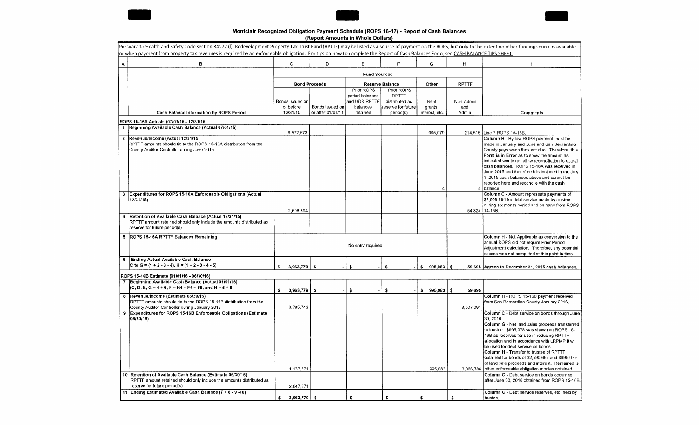





### Montclair Recognized Obligation Payment Schedule (ROPS 16-17) - Report of Cash Balances Report Amounts in Whole Dollars)

|              | Pursuant to Health and Safety Code section 34177 (I), Redevelopment Property Tax Trust Fund (RPTTF) may be listed as a source of payment on the ROPS, but only to the extent no other funding source is available<br>or when payment from property tax revenues is required by an enforceable obligation. For tips on how to complete the Report of Cash Balances Form, see CASH BALANCE TIPS SHEET |                       |                                      |                                                |                                              |                           |                 |                                                                                                                                                                                                                                                                                                                                                                                                                                                                                                                                                             |
|--------------|-----------------------------------------------------------------------------------------------------------------------------------------------------------------------------------------------------------------------------------------------------------------------------------------------------------------------------------------------------------------------------------------------------|-----------------------|--------------------------------------|------------------------------------------------|----------------------------------------------|---------------------------|-----------------|-------------------------------------------------------------------------------------------------------------------------------------------------------------------------------------------------------------------------------------------------------------------------------------------------------------------------------------------------------------------------------------------------------------------------------------------------------------------------------------------------------------------------------------------------------------|
| А            | в                                                                                                                                                                                                                                                                                                                                                                                                   | $\mathbf{C}$          | D                                    | E                                              | F                                            | G                         | H.              |                                                                                                                                                                                                                                                                                                                                                                                                                                                                                                                                                             |
|              |                                                                                                                                                                                                                                                                                                                                                                                                     |                       |                                      |                                                |                                              |                           |                 |                                                                                                                                                                                                                                                                                                                                                                                                                                                                                                                                                             |
|              |                                                                                                                                                                                                                                                                                                                                                                                                     |                       | <b>Bond Proceeds</b>                 |                                                | Reserve Balance                              | Other                     | <b>RPTTF</b>    |                                                                                                                                                                                                                                                                                                                                                                                                                                                                                                                                                             |
|              |                                                                                                                                                                                                                                                                                                                                                                                                     | Bonds issued on       |                                      | Prior ROPS<br>period balances<br>and DDR RPTTF | Prior ROPS<br><b>RPTTF</b><br>distributed as | Rent,                     | Non-Admin       |                                                                                                                                                                                                                                                                                                                                                                                                                                                                                                                                                             |
|              | Cash Balance Information by ROPS Period                                                                                                                                                                                                                                                                                                                                                             | or before<br>12/31/10 | Bonds issued on<br>or after 01/01/11 | balances<br>retained                           | reserve for future<br>period(s)              | grants,<br>interest, etc. | and<br>Admin    | Comments                                                                                                                                                                                                                                                                                                                                                                                                                                                                                                                                                    |
|              | ROPS 15-16A Actuals (07/01/15 - 12/31/15)                                                                                                                                                                                                                                                                                                                                                           |                       |                                      |                                                |                                              |                           |                 |                                                                                                                                                                                                                                                                                                                                                                                                                                                                                                                                                             |
|              | 1 Beginning Available Cash Balance (Actual 07/01/15)                                                                                                                                                                                                                                                                                                                                                |                       |                                      |                                                |                                              |                           |                 |                                                                                                                                                                                                                                                                                                                                                                                                                                                                                                                                                             |
| $2^{\circ}$  | Revenue/Income (Actual 12/31/15)                                                                                                                                                                                                                                                                                                                                                                    | 6,572,673             |                                      |                                                |                                              | 995,079                   | 214,515         | Line 7 ROPS 15-16B<br>Column H - By law ROPS payment must be                                                                                                                                                                                                                                                                                                                                                                                                                                                                                                |
|              | RPTTF amounts should tie to the ROPS 15-16A distribution from the<br>County Auditor-Controller dunng June 2015                                                                                                                                                                                                                                                                                      |                       |                                      |                                                |                                              | 4                         |                 | made in January and June and San Bernardino<br>County pays when they are due. Therefore, this<br>Form is in Error as to show the amount as<br>indicated would not allow reconciliation to actual<br>cash balances, ROPS 15-16A was received in<br>June 2015 and therefore it is included in the July<br>1, 2015 cash balances above and cannot be<br>reported here and reconcile with the cash<br>4 Ibalance.                                                                                                                                               |
| $\mathbf{3}$ | Expenditures for ROPS 15-16A Enforceable Obligations (Actual<br>12/31/15)                                                                                                                                                                                                                                                                                                                           | 2,608,894             |                                      |                                                |                                              |                           | 154,824 14-15B. | Column C - Amount represents payments of<br>\$2,608,894 for debt service made by trustee<br>during six month period and on hand from ROPS                                                                                                                                                                                                                                                                                                                                                                                                                   |
|              | Retention of Available Cash Balance (Actual 12/31/15)<br>RPTTF amount retained should only include the amounts distributed as<br>reserve for future period(s)                                                                                                                                                                                                                                       |                       |                                      |                                                |                                              |                           |                 |                                                                                                                                                                                                                                                                                                                                                                                                                                                                                                                                                             |
| 5.           | ROPS 15-16A RPTTF Balances Remaining                                                                                                                                                                                                                                                                                                                                                                |                       |                                      | No entry required                              |                                              |                           |                 | Column H - Not Applicable as conversion to the<br>annual ROPS did not require Prior Period<br>Adjustment calculation. Therefore, any potential<br>excess was not computed at this point in time.                                                                                                                                                                                                                                                                                                                                                            |
| 6            | <b>Ending Actual Available Cash Balance</b><br>C to G = $(1 + 2 - 3 - 4)$ , H = $(1 + 2 - 3 - 4 - 5)$                                                                                                                                                                                                                                                                                               | 3,963,779<br>-9       | $\mathbf{s}$                         | ¢                                              | ¢,                                           | 995.083<br>\$.            | -\$             | 59,695 Agrees to December 31, 2015 cash balances.                                                                                                                                                                                                                                                                                                                                                                                                                                                                                                           |
|              | ROPS 15-16B Estimate (01/01/16 - 06/30/16)                                                                                                                                                                                                                                                                                                                                                          |                       |                                      |                                                |                                              |                           |                 |                                                                                                                                                                                                                                                                                                                                                                                                                                                                                                                                                             |
|              | Beginning Available Cash Balance (Actual 01/01/16)<br>$(C, D, E, G = 4 + 6, F = H4 + F4 + F6,$ and $H = 5 + 6$                                                                                                                                                                                                                                                                                      | 3,963,779<br>\$       | \$                                   | \$.                                            | \$                                           | \$<br>995,083             | \$<br>59,695    |                                                                                                                                                                                                                                                                                                                                                                                                                                                                                                                                                             |
| 8            | Revenue/Income (Estimate 06/30/16)<br>RPTTF amounts should tie to the ROPS 15-16B distribution from the<br>County Auditor-Controller during January 2016                                                                                                                                                                                                                                            | 3,785,742             |                                      |                                                |                                              |                           | 3,007,091       | Column H - ROPS 15-16B payment received<br>from San Bernardino County January 2016.                                                                                                                                                                                                                                                                                                                                                                                                                                                                         |
| 9            | Expenditures for ROPS 15-16B Enforceable Obligations (Estimate<br>06/30/16)<br>10 Retention of Available Cash Balance (Estimate 06/30/16)                                                                                                                                                                                                                                                           | 1.137.871             |                                      |                                                |                                              | 995,083                   |                 | Column C - Debt service on bonds through June<br>30, 2016.<br>Column G - Net land sales proceeds transferred<br>to trustee. \$995,078 was shown on ROPS 15-<br>16B as reserves for use in reducing RPTTF<br>allocation and in accordance with LRPMP it will<br>be used for debt service on bonds.<br>Column H - Transfer to trustee of RPTTF<br>obtained for bonds of \$2,790,663 and \$995,079<br>of land sale proceeds and interest. Remained is<br>3,066,786 other enforceable obligation monies obtained.<br>Column C - Debt service on bonds occurring |
|              | RPTTF amount retained should only include the amounts distributed as<br>reserve for future period(s)<br>11 Ending Estimated Available Cash Balance (7 + 8 - 9 -10)                                                                                                                                                                                                                                  | 2,647,871             |                                      |                                                |                                              |                           |                 | after June 30, 2016 obtained from ROPS 15-16B.<br>Column C - Debt service reserves, etc. held by                                                                                                                                                                                                                                                                                                                                                                                                                                                            |
|              |                                                                                                                                                                                                                                                                                                                                                                                                     | 3,963,779             | -\$                                  | \$                                             | \$                                           | \$                        | \$              | trustee.                                                                                                                                                                                                                                                                                                                                                                                                                                                                                                                                                    |